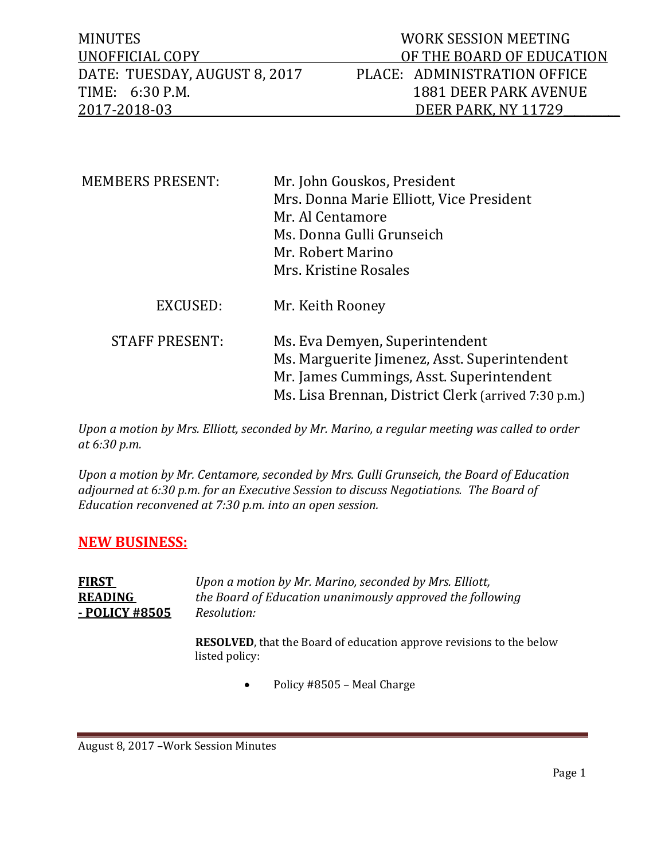| <b>MINUTES</b>                | WORK SESSION MEETING         |
|-------------------------------|------------------------------|
| UNOFFICIAL COPY               | OF THE BOARD OF EDUCATION    |
| DATE: TUESDAY, AUGUST 8, 2017 | PLACE: ADMINISTRATION OFFICE |
| TIME: 6:30 P.M.               | 1881 DEER PARK AVENUE        |
| 2017-2018-03                  | DEER PARK. NY 11729          |

| <b>MEMBERS PRESENT:</b> | Mr. John Gouskos, President<br>Mrs. Donna Marie Elliott, Vice President<br>Mr. Al Centamore<br>Ms. Donna Gulli Grunseich<br>Mr. Robert Marino<br>Mrs. Kristine Rosales             |
|-------------------------|------------------------------------------------------------------------------------------------------------------------------------------------------------------------------------|
| EXCUSED:                | Mr. Keith Rooney                                                                                                                                                                   |
| <b>STAFF PRESENT:</b>   | Ms. Eva Demyen, Superintendent<br>Ms. Marguerite Jimenez, Asst. Superintendent<br>Mr. James Cummings, Asst. Superintendent<br>Ms. Lisa Brennan, District Clerk (arrived 7:30 p.m.) |

*Upon a motion by Mrs. Elliott, seconded by Mr. Marino, a regular meeting was called to order at 6:30 p.m.* 

*Upon a motion by Mr. Centamore, seconded by Mrs. Gulli Grunseich, the Board of Education adjourned at 6:30 p.m. for an Executive Session to discuss Negotiations. The Board of Education reconvened at 7:30 p.m. into an open session.*

## **NEW BUSINESS:**

**FIRST** *Upon a motion by Mr. Marino, seconded by Mrs. Elliott,*  **READING** *the Board of Education unanimously approved the following*  **- POLICY #8505** *Resolution:*

> **RESOLVED**, that the Board of education approve revisions to the below listed policy:

> > • Policy #8505 – Meal Charge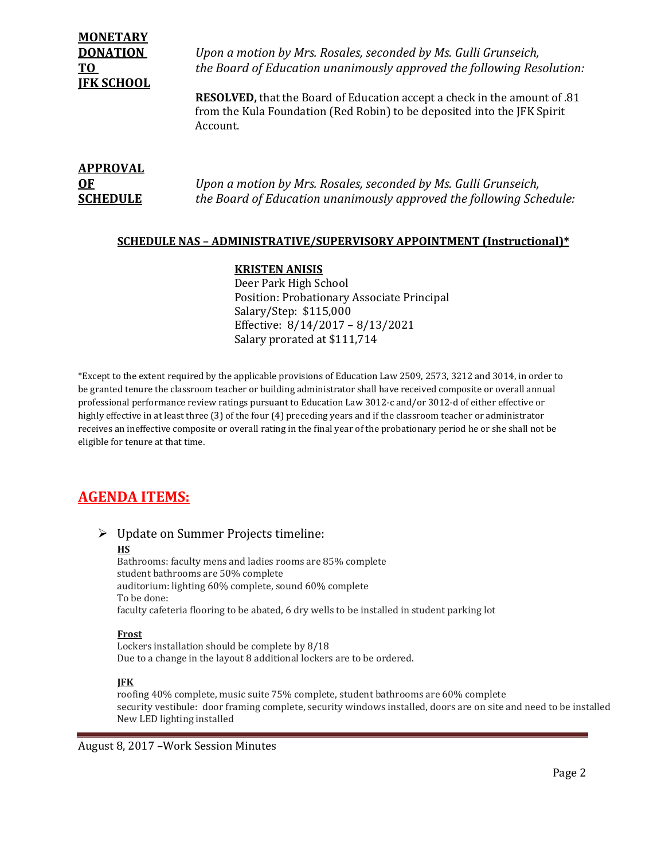| <b>MONETARY</b>   |                                                                                  |
|-------------------|----------------------------------------------------------------------------------|
| <b>DONATION</b>   | Upon a motion by Mrs. Rosales, seconded by Ms. Gulli Grunseich,                  |
| TO                | the Board of Education unanimously approved the following Resolution:            |
| <b>IFK SCHOOL</b> |                                                                                  |
|                   | <b>RESOLVED,</b> that the Board of Education accept a check in the amount of .81 |
|                   | from the Kula Foundation (Red Robin) to be deposited into the JFK Spirit         |
|                   | Account.                                                                         |

| <b>APPROVAL</b> |                                                                     |
|-----------------|---------------------------------------------------------------------|
| <b>OF</b>       | Upon a motion by Mrs. Rosales, seconded by Ms. Gulli Grunseich,     |
| <b>SCHEDULE</b> | the Board of Education unanimously approved the following Schedule: |

### **SCHEDULE NAS – ADMINISTRATIVE/SUPERVISORY APPOINTMENT (Instructional)\***

#### **KRISTEN ANISIS**

Deer Park High School Position: Probationary Associate Principal Salary/Step: \$115,000 Effective: 8/14/2017 – 8/13/2021 Salary prorated at \$111,714

\*Except to the extent required by the applicable provisions of Education Law 2509, 2573, 3212 and 3014, in order to be granted tenure the classroom teacher or building administrator shall have received composite or overall annual professional performance review ratings pursuant to Education Law 3012-c and/or 3012-d of either effective or highly effective in at least three (3) of the four (4) preceding years and if the classroom teacher or administrator receives an ineffective composite or overall rating in the final year of the probationary period he or she shall not be eligible for tenure at that time.

# **AGENDA ITEMS:**

#### Update on Summer Projects timeline: **HS** Bathrooms: faculty mens and ladies rooms are 85% complete student bathrooms are 50% complete auditorium: lighting 60% complete, sound 60% complete To be done:

faculty cafeteria flooring to be abated, 6 dry wells to be installed in student parking lot

#### **Frost**

Lockers installation should be complete by 8/18 Due to a change in the layout 8 additional lockers are to be ordered.

#### **JFK**

roofing 40% complete, music suite 75% complete, student bathrooms are 60% complete security vestibule: door framing complete, security windows installed, doors are on site and need to be installed New LED lighting installed

August 8, 2017 –Work Session Minutes